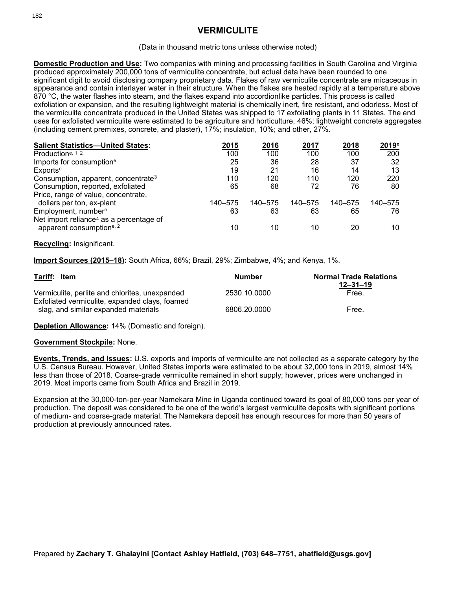# **VERMICULITE**

#### (Data in thousand metric tons unless otherwise noted)

**Domestic Production and Use:** Two companies with mining and processing facilities in South Carolina and Virginia produced approximately 200,000 tons of vermiculite concentrate, but actual data have been rounded to one significant digit to avoid disclosing company proprietary data. Flakes of raw vermiculite concentrate are micaceous in appearance and contain interlayer water in their structure. When the flakes are heated rapidly at a temperature above 870 °C, the water flashes into steam, and the flakes expand into accordionlike particles. This process is called exfoliation or expansion, and the resulting lightweight material is chemically inert, fire resistant, and odorless. Most of the vermiculite concentrate produced in the United States was shipped to 17 exfoliating plants in 11 States. The end uses for exfoliated vermiculite were estimated to be agriculture and horticulture, 46%; lightweight concrete aggregates (including cement premixes, concrete, and plaster), 17%; insulation, 10%; and other, 27%.

| <b>Salient Statistics-United States:</b>            | 2015    | 2016    | 2017    | 2018    | $2019^{\circ}$ |
|-----------------------------------------------------|---------|---------|---------|---------|----------------|
| Productione, 1, 2                                   | 100     | 100     | 100     | 100     | 200            |
| Imports for consumption <sup>e</sup>                | 25      | 36      | 28      | 37      | 32             |
| Exports <sup>e</sup>                                | 19      | 21      | 16      | 14      | 13             |
| Consumption, apparent, concentrate <sup>3</sup>     | 110     | 120     | 110     | 120     | 220            |
| Consumption, reported, exfoliated                   | 65      | 68      | 72      | 76      | 80             |
| Price, range of value, concentrate,                 |         |         |         |         |                |
| dollars per ton, ex-plant                           | 140-575 | 140-575 | 140-575 | 140-575 | 140–575        |
| Employment, number <sup>e</sup>                     | 63      | 63      | 63      | 65      | 76             |
| Net import reliance <sup>4</sup> as a percentage of |         |         |         |         |                |
| apparent consumption <sup>e, 2</sup>                | 10      | 10      | 10      | 20      | 10             |

#### **Recycling:** Insignificant.

**Import Sources (2015–18):** South Africa, 66%; Brazil, 29%; Zimbabwe, 4%; and Kenya, 1%.

| Tariff: Item                                                                           | <b>Number</b> | <b>Normal Trade Relations</b><br>$12 - 31 - 19$ |  |
|----------------------------------------------------------------------------------------|---------------|-------------------------------------------------|--|
| Vermiculite, perlite and chlorites, unexpanded                                         | 2530.10.0000  | Free.                                           |  |
| Exfoliated vermiculite, expanded clays, foamed<br>slag, and similar expanded materials | 6806.20.0000  | Free.                                           |  |

**Depletion Allowance:** 14% (Domestic and foreign).

#### **Government Stockpile:** None.

**Events, Trends, and Issues:** U.S. exports and imports of vermiculite are not collected as a separate category by the U.S. Census Bureau. However, United States imports were estimated to be about 32,000 tons in 2019, almost 14% less than those of 2018. Coarse-grade vermiculite remained in short supply; however, prices were unchanged in 2019. Most imports came from South Africa and Brazil in 2019.

Expansion at the 30,000-ton-per-year Namekara Mine in Uganda continued toward its goal of 80,000 tons per year of production. The deposit was considered to be one of the world's largest vermiculite deposits with significant portions of medium- and coarse-grade material. The Namekara deposit has enough resources for more than 50 years of production at previously announced rates.